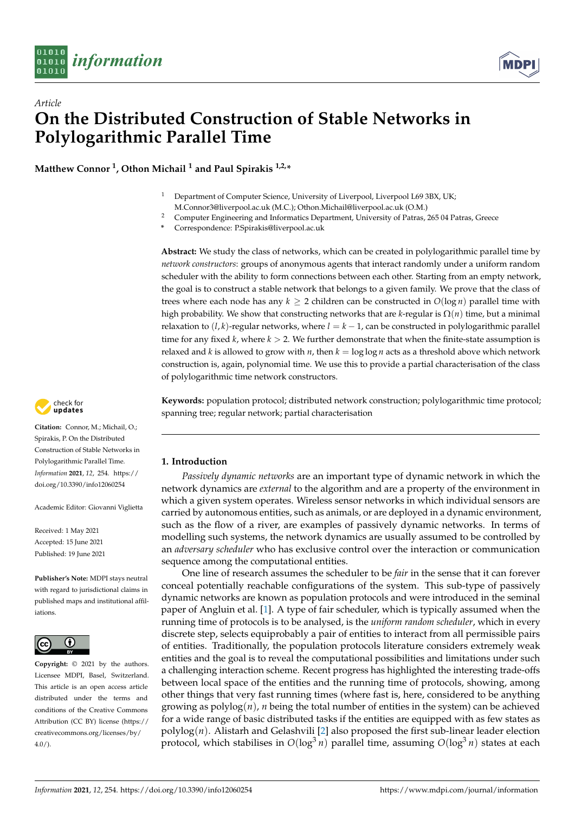

*Article*



# **On the Distributed Construction of Stable Networks in Polylogarithmic Parallel Time**

**Matthew Connor <sup>1</sup> , Othon Michail <sup>1</sup> and Paul Spirakis 1,2,\***

- <sup>1</sup> Department of Computer Science, University of Liverpool, Liverpool L69 3BX, UK;
- M.Connor3@liverpool.ac.uk (M.C.); Othon.Michail@liverpool.ac.uk (O.M.)
- <sup>2</sup> Computer Engineering and Informatics Department, University of Patras, 265 04 Patras, Greece
- **\*** Correspondence: P.Spirakis@liverpool.ac.uk

**Abstract:** We study the class of networks, which can be created in polylogarithmic parallel time by *network constructors*: groups of anonymous agents that interact randomly under a uniform random scheduler with the ability to form connections between each other. Starting from an empty network, the goal is to construct a stable network that belongs to a given family. We prove that the class of trees where each node has any  $k \geq 2$  children can be constructed in  $O(\log n)$  parallel time with high probability. We show that constructing networks that are *k*-regular is Ω(*n*) time, but a minimal relaxation to  $(l, k)$ -regular networks, where  $l = k - 1$ , can be constructed in polylogarithmic parallel time for any fixed  $k$ , where  $k > 2$ . We further demonstrate that when the finite-state assumption is relaxed and *k* is allowed to grow with *n*, then  $k = \log \log n$  acts as a threshold above which network construction is, again, polynomial time. We use this to provide a partial characterisation of the class of polylogarithmic time network constructors.

**Keywords:** population protocol; distributed network construction; polylogarithmic time protocol; spanning tree; regular network; partial characterisation

# **1. Introduction**

*Passively dynamic networks* are an important type of dynamic network in which the network dynamics are *external* to the algorithm and are a property of the environment in which a given system operates. Wireless sensor networks in which individual sensors are carried by autonomous entities, such as animals, or are deployed in a dynamic environment, such as the flow of a river, are examples of passively dynamic networks. In terms of modelling such systems, the network dynamics are usually assumed to be controlled by an *adversary scheduler* who has exclusive control over the interaction or communication sequence among the computational entities.

One line of research assumes the scheduler to be *fair* in the sense that it can forever conceal potentially reachable configurations of the system. This sub-type of passively dynamic networks are known as population protocols and were introduced in the seminal paper of Angluin et al. [\[1\]](#page-11-0). A type of fair scheduler, which is typically assumed when the running time of protocols is to be analysed, is the *uniform random scheduler*, which in every discrete step, selects equiprobably a pair of entities to interact from all permissible pairs of entities. Traditionally, the population protocols literature considers extremely weak entities and the goal is to reveal the computational possibilities and limitations under such a challenging interaction scheme. Recent progress has highlighted the interesting trade-offs between local space of the entities and the running time of protocols, showing, among other things that very fast running times (where fast is, here, considered to be anything growing as  $polylog(n)$ , *n* being the total number of entities in the system) can be achieved for a wide range of basic distributed tasks if the entities are equipped with as few states as polylog(*n*). Alistarh and Gelashvili [\[2\]](#page-11-1) also proposed the first sub-linear leader election protocol, which stabilises in  $O(log^3 n)$  parallel time, assuming  $O(log^3 n)$  states at each



**Citation:** Connor, M.; Michail, O.; Spirakis, P. On the Distributed Construction of Stable Networks in Polylogarithmic Parallel Time. *Information* **2021**, *12*, 254. [https://](https://doi.org/10.3390/info12060254) [doi.org/10.3390/info12060254](https://doi.org/10.3390/info12060254)

Academic Editor: Giovanni Viglietta

Received: 1 May 2021 Accepted: 15 June 2021 Published: 19 June 2021

**Publisher's Note:** MDPI stays neutral with regard to jurisdictional claims in published maps and institutional affiliations.



**Copyright:** © 2021 by the authors. Licensee MDPI, Basel, Switzerland. This article is an open access article distributed under the terms and conditions of the Creative Commons Attribution (CC BY) license (https:/[/](https://creativecommons.org/licenses/by/4.0/) [creativecommons.org/licenses/by/](https://creativecommons.org/licenses/by/4.0/)  $4.0/$ ).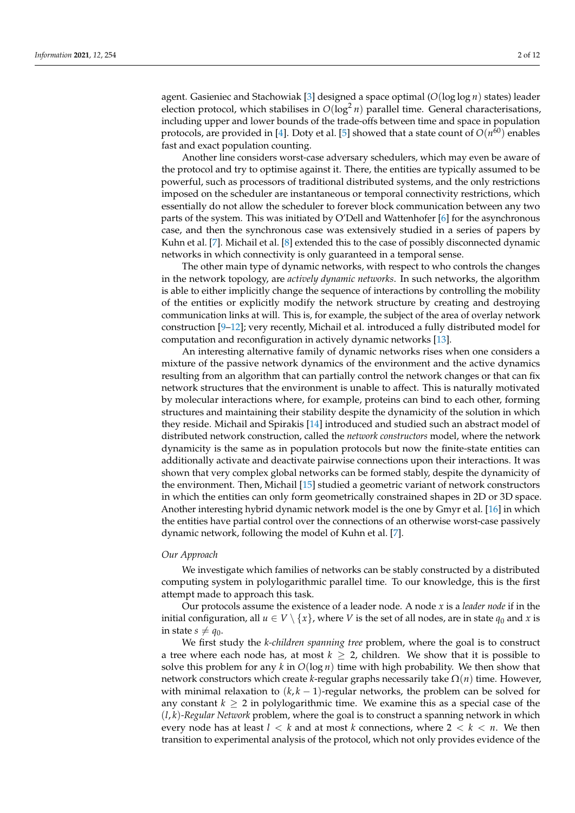agent. Gasieniec and Stachowiak [\[3\]](#page-11-2) designed a space optimal (*O*(log log *n*) states) leader election protocol, which stabilises in  $O(log^2 n)$  parallel time. General characterisations, including upper and lower bounds of the trade-offs between time and space in population protocols, are provided in [\[4\]](#page-11-3). Doty et al. [\[5\]](#page-11-4) showed that a state count of  $O(n^{60})$  enables fast and exact population counting.

Another line considers worst-case adversary schedulers, which may even be aware of the protocol and try to optimise against it. There, the entities are typically assumed to be powerful, such as processors of traditional distributed systems, and the only restrictions imposed on the scheduler are instantaneous or temporal connectivity restrictions, which essentially do not allow the scheduler to forever block communication between any two parts of the system. This was initiated by O'Dell and Wattenhofer [\[6\]](#page-11-5) for the asynchronous case, and then the synchronous case was extensively studied in a series of papers by Kuhn et al. [\[7\]](#page-11-6). Michail et al. [\[8\]](#page-11-7) extended this to the case of possibly disconnected dynamic networks in which connectivity is only guaranteed in a temporal sense.

The other main type of dynamic networks, with respect to who controls the changes in the network topology, are *actively dynamic networks*. In such networks, the algorithm is able to either implicitly change the sequence of interactions by controlling the mobility of the entities or explicitly modify the network structure by creating and destroying communication links at will. This is, for example, the subject of the area of overlay network construction [\[9–](#page-11-8)[12\]](#page-11-9); very recently, Michail et al. introduced a fully distributed model for computation and reconfiguration in actively dynamic networks [\[13\]](#page-11-10).

An interesting alternative family of dynamic networks rises when one considers a mixture of the passive network dynamics of the environment and the active dynamics resulting from an algorithm that can partially control the network changes or that can fix network structures that the environment is unable to affect. This is naturally motivated by molecular interactions where, for example, proteins can bind to each other, forming structures and maintaining their stability despite the dynamicity of the solution in which they reside. Michail and Spirakis [\[14\]](#page-11-11) introduced and studied such an abstract model of distributed network construction, called the *network constructors* model, where the network dynamicity is the same as in population protocols but now the finite-state entities can additionally activate and deactivate pairwise connections upon their interactions. It was shown that very complex global networks can be formed stably, despite the dynamicity of the environment. Then, Michail [\[15\]](#page-11-12) studied a geometric variant of network constructors in which the entities can only form geometrically constrained shapes in 2D or 3D space. Another interesting hybrid dynamic network model is the one by Gmyr et al. [\[16\]](#page-11-13) in which the entities have partial control over the connections of an otherwise worst-case passively dynamic network, following the model of Kuhn et al. [\[7\]](#page-11-6).

## *Our Approach*

We investigate which families of networks can be stably constructed by a distributed computing system in polylogarithmic parallel time. To our knowledge, this is the first attempt made to approach this task.

Our protocols assume the existence of a leader node. A node *x* is a *leader node* if in the initial configuration, all  $u \in V \setminus \{x\}$ , where *V* is the set of all nodes, are in state  $q_0$  and *x* is in state  $s \neq q_0$ .

We first study the *k-children spanning tree* problem, where the goal is to construct a tree where each node has, at most  $k \geq 2$ , children. We show that it is possible to solve this problem for any *k* in *O*(log *n*) time with high probability. We then show that network constructors which create *k*-regular graphs necessarily take  $\Omega(n)$  time. However, with minimal relaxation to  $(k, k - 1)$ -regular networks, the problem can be solved for any constant  $k \geq 2$  in polylogarithmic time. We examine this as a special case of the (*l*, *k*)*-Regular Network* problem, where the goal is to construct a spanning network in which every node has at least  $l < k$  and at most k connections, where  $2 < k < n$ . We then transition to experimental analysis of the protocol, which not only provides evidence of the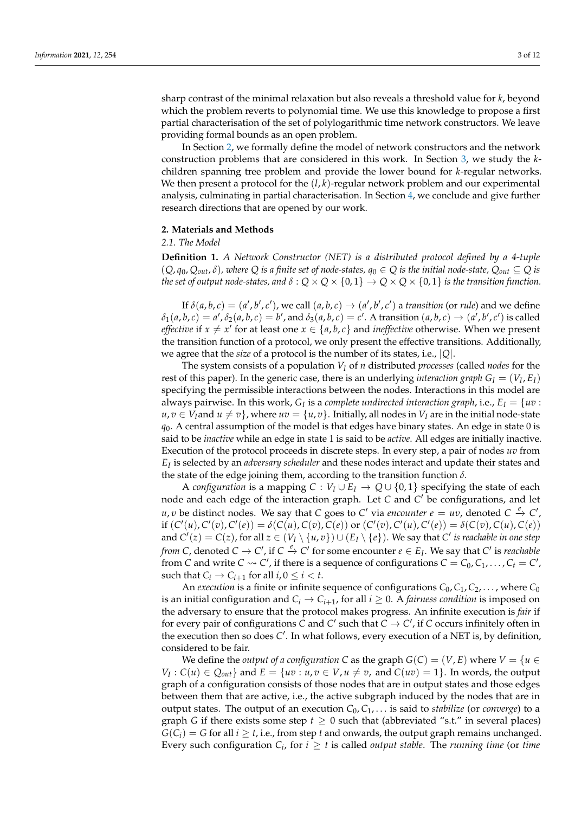sharp contrast of the minimal relaxation but also reveals a threshold value for *k*, beyond which the problem reverts to polynomial time. We use this knowledge to propose a first partial characterisation of the set of polylogarithmic time network constructors. We leave providing formal bounds as an open problem.

In Section [2,](#page-2-0) we formally define the model of network constructors and the network construction problems that are considered in this work. In Section [3,](#page-3-0) we study the *k*children spanning tree problem and provide the lower bound for *k*-regular networks. We then present a protocol for the  $(l, k)$ -regular network problem and our experimental analysis, culminating in partial characterisation. In Section [4,](#page-10-0) we conclude and give further research directions that are opened by our work.

#### <span id="page-2-0"></span>**2. Materials and Methods**

#### *2.1. The Model*

**Definition 1.** *A Network Constructor (NET) is a distributed protocol defined by a 4-tuple*  $(Q, q_0, Q_{out}, \delta)$ , where  $Q$  *is a finite set of node-states,*  $q_0 \in Q$  *is the initial node-state,*  $Q_{out} \subseteq Q$  *is the set of output node-states, and*  $\delta$  :  $Q \times Q \times \{0,1\} \rightarrow Q \times Q \times \{0,1\}$  *is the transition function.* 

If  $\delta(a, b, c) = (a', b', c')$ , we call  $(a, b, c) \rightarrow (a', b', c')$  a *transition* (or *rule*) and we define  $\delta_1(a,b,c) = a', \delta_2(a,b,c) = b'$ , and  $\delta_3(a,b,c) = c'$ . A transition  $(a,b,c) \rightarrow (a',b',c')$  is called *effective* if  $x \neq x'$  for at least one  $x \in \{a, b, c\}$  and *ineffective* otherwise. When we present the transition function of a protocol, we only present the effective transitions. Additionally, we agree that the *size* of a protocol is the number of its states, i.e., |*Q*|.

The system consists of a population *V<sup>I</sup>* of *n* distributed *processes* (called *nodes* for the rest of this paper). In the generic case, there is an underlying *interaction graph*  $G_I = (V_I, E_I)$ specifying the permissible interactions between the nodes. Interactions in this model are always pairwise. In this work,  $G_I$  is a *complete undirected interaction graph*, i.e.,  $E_I = \{uv :$ *u*, *v* ∈ *V*<sub>*I*</sub>and *u* ≠ *v*}, where *uv* = {*u*, *v*}. Initially, all nodes in *V*<sub>*I*</sub> are in the initial node-state *q*0. A central assumption of the model is that edges have binary states. An edge in state 0 is said to be *inactive* while an edge in state 1 is said to be *active*. All edges are initially inactive. Execution of the protocol proceeds in discrete steps. In every step, a pair of nodes *uv* from *EI* is selected by an *adversary scheduler* and these nodes interact and update their states and the state of the edge joining them, according to the transition function *δ*.

A *configuration* is a mapping  $C: V_I \cup E_I \rightarrow Q \cup \{0,1\}$  specifying the state of each node and each edge of the interaction graph. Let C and C' be configurations, and let *u*, *v* be distinct nodes. We say that *C* goes to *C*' via *encounter*  $e = uv$ , denoted  $C \xrightarrow{e} C'$ , if  $(C'(u), C'(v), C'(e)) = \delta(C(u), C(v), C(e))$  or  $(C'(v), C'(u), C'(e)) = \delta(C(v), C(u), C(e))$ and  $C'(z) = C(z)$ , for all  $z \in (V_I \setminus \{u, v\}) \cup (E_I \setminus \{e\})$ . We say that  $C'$  is reachable in one step *from C*, denoted  $C \to C'$ , if  $C \xrightarrow{e} C'$  for some encounter  $e \in E_I$ . We say that  $C'$  is *reachable* from *C* and write *C*  $\leadsto$  *C'*, if there is a sequence of configurations *C* = *C*<sub>0</sub>, *C*<sub>1</sub>, . . . , *C*<sub>*t*</sub> = *C'*, such that  $C_i \rightarrow C_{i+1}$  for all  $i, 0 \leq i < t$ .

An *execution* is a finite or infinite sequence of configurations *C*0, *C*1, *C*2, . . . , where *C*<sup>0</sup> is an initial configuration and  $C_i \rightarrow C_{i+1}$ , for all  $i \geq 0$ . A *fairness condition* is imposed on the adversary to ensure that the protocol makes progress. An infinite execution is *fair* if for every pair of configurations  $\tilde{C}$  and  $C'$  such that  $\tilde{C} \to C'$ , if  $C$  occurs infinitely often in the execution then so does C'. In what follows, every execution of a NET is, by definition, considered to be fair.

We define the *output of a configuration* C as the graph  $G(C) = (V, E)$  where  $V = \{u \in$  $V_I: C(u) \in Q_{out}$  and  $E = \{uv: u, v \in V, u \neq v$ , and  $C(uv) = 1\}$ . In words, the output graph of a configuration consists of those nodes that are in output states and those edges between them that are active, i.e., the active subgraph induced by the nodes that are in output states. The output of an execution  $C_0, C_1, \ldots$  is said to *stabilize* (or *converge*) to a graph *G* if there exists some step  $t \geq 0$  such that (abbreviated "s.t." in several places)  $G(C_i) = G$  for all  $i \geq t$ , i.e., from step *t* and onwards, the output graph remains unchanged. Every such configuration  $C_i$ , for  $i \geq t$  is called *output stable*. The *running time* (or *time*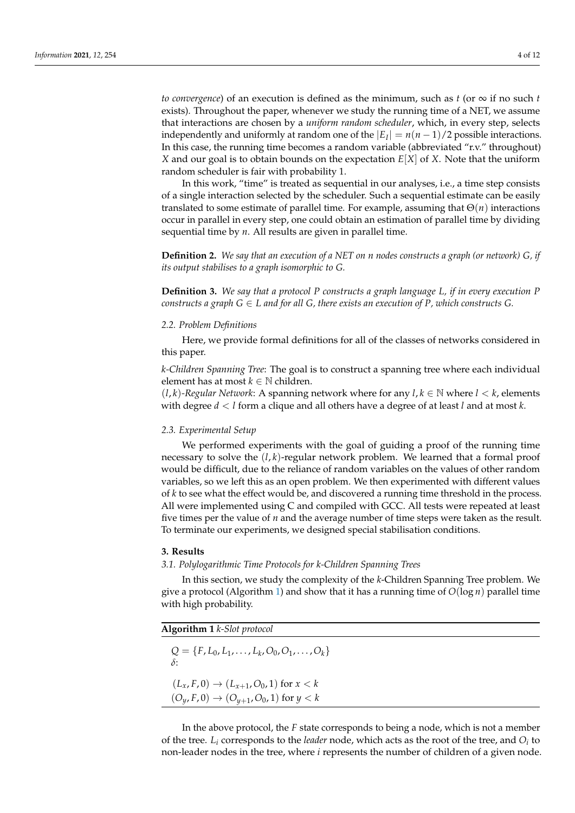*to convergence*) of an execution is defined as the minimum, such as *t* (or  $\infty$  if no such *t* exists). Throughout the paper, whenever we study the running time of a NET, we assume that interactions are chosen by a *uniform random scheduler*, which, in every step, selects independently and uniformly at random one of the  $|E_I| = n(n-1)/2$  possible interactions. In this case, the running time becomes a random variable (abbreviated "r.v." throughout) *X* and our goal is to obtain bounds on the expectation *E*[*X*] of *X*. Note that the uniform random scheduler is fair with probability 1.

In this work, "time" is treated as sequential in our analyses, i.e., a time step consists of a single interaction selected by the scheduler. Such a sequential estimate can be easily translated to some estimate of parallel time. For example, assuming that Θ(*n*) interactions occur in parallel in every step, one could obtain an estimation of parallel time by dividing sequential time by *n*. All results are given in parallel time.

**Definition 2.** *We say that an execution of a NET on n nodes constructs a graph (or network) G, if its output stabilises to a graph isomorphic to G.*

**Definition 3.** *We say that a protocol P constructs a graph language L, if in every execution P constructs a graph G*  $\in$  *L* and for all G, there exists an execution of P, which constructs G.

## *2.2. Problem Definitions*

Here, we provide formal definitions for all of the classes of networks considered in this paper.

*k-Children Spanning Tree*: The goal is to construct a spanning tree where each individual element has at most  $k \in \mathbb{N}$  children.

 $(l, k)$ -Regular Network: A spanning network where for any  $l, k \in \mathbb{N}$  where  $l < k$ , elements with degree *d* < *l* form a clique and all others have a degree of at least *l* and at most *k*.

## *2.3. Experimental Setup*

We performed experiments with the goal of guiding a proof of the running time necessary to solve the  $(l, k)$ -regular network problem. We learned that a formal proof would be difficult, due to the reliance of random variables on the values of other random variables, so we left this as an open problem. We then experimented with different values of *k* to see what the effect would be, and discovered a running time threshold in the process. All were implemented using C and compiled with GCC. All tests were repeated at least five times per the value of *n* and the average number of time steps were taken as the result. To terminate our experiments, we designed special stabilisation conditions.

#### <span id="page-3-0"></span>**3. Results**

*3.1. Polylogarithmic Time Protocols for k-Children Spanning Trees*

In this section, we study the complexity of the *k*-Children Spanning Tree problem. We give a protocol (Algorithm [1\)](#page-3-1) and show that it has a running time of *O*(log *n*) parallel time with high probability.

<span id="page-3-1"></span>

| Algorithm $1$ $k$ -Slot protocol |  |
|----------------------------------|--|
|                                  |  |

 $Q = \{F, L_0, L_1, \ldots, L_k, O_0, O_1, \ldots, O_k\}$ *δ*:  $(L_x, F, 0) \to (L_{x+1}, O_0, 1)$  for  $x < k$  $(O_y, F, 0) \to (O_{y+1}, O_0, 1)$  for  $y < k$ 

In the above protocol, the *F* state corresponds to being a node, which is not a member of the tree. *L<sup>i</sup>* corresponds to the *leader* node, which acts as the root of the tree, and *O<sup>i</sup>* to non-leader nodes in the tree, where *i* represents the number of children of a given node.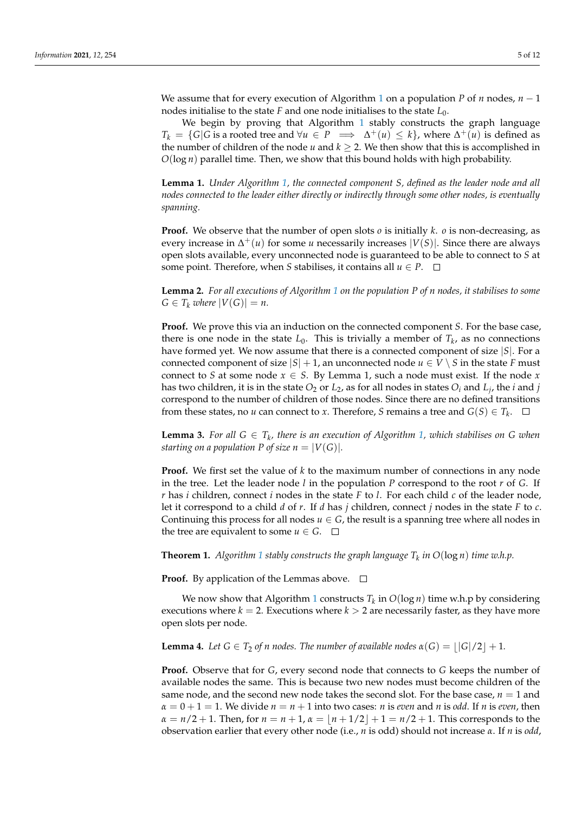We assume that for every execution of Algorithm [1](#page-3-1) on a population *P* of *n* nodes, *n* − 1 nodes initialise to the state *F* and one node initialises to the state *L*0.

We begin by proving that Algorithm [1](#page-3-1) stably constructs the graph language  $T_k = \{G | G$  is a rooted tree and  $\forall u \in P \implies \Delta^+(u) \leq k\}$ , where  $\Delta^+(u)$  is defined as the number of children of the node *u* and  $k \geq 2$ . We then show that this is accomplished in *O*(log *n*) parallel time. Then, we show that this bound holds with high probability.

**Lemma 1.** *Under Algorithm [1,](#page-3-1) the connected component S, defined as the leader node and all nodes connected to the leader either directly or indirectly through some other nodes, is eventually spanning.*

**Proof.** We observe that the number of open slots *o* is initially *k*. *o* is non-decreasing, as every increase in ∆ <sup>+</sup>(*u*) for some *u* necessarily increases |*V*(*S*)|. Since there are always open slots available, every unconnected node is guaranteed to be able to connect to *S* at some point. Therefore, when *S* stabilises, it contains all  $u \in P$ .  $\Box$ 

**Lemma 2.** *For all executions of Algorithm [1](#page-3-1) on the population P of n nodes, it stabilises to some*  $G \in T_k$  *where*  $|V(G)| = n$ .

**Proof.** We prove this via an induction on the connected component *S*. For the base case, there is one node in the state  $L_0$ . This is trivially a member of  $T_k$ , as no connections have formed yet. We now assume that there is a connected component of size |*S*|. For a connected component of size  $|S| + 1$ , an unconnected node  $u \in V \setminus S$  in the state *F* must connect to *S* at some node  $x \in S$ . By Lemma 1, such a node must exist. If the node *x* has two children, it is in the state  $O_2$  or  $L_2$ , as for all nodes in states  $O_i$  and  $L_j$ , the  $i$  and  $j$ correspond to the number of children of those nodes. Since there are no defined transitions from these states, no *u* can connect to *x*. Therefore, *S* remains a tree and  $G(S) \in T_k$ .

**Lemma 3.** For all  $G \in T_k$ , there is an execution of Algorithm [1,](#page-3-1) which stabilises on G when *starting on a population P of size*  $n = |V(G)|$ *.* 

**Proof.** We first set the value of *k* to the maximum number of connections in any node in the tree. Let the leader node *l* in the population *P* correspond to the root *r* of *G*. If *r* has *i* children, connect *i* nodes in the state *F* to *l*. For each child *c* of the leader node, let it correspond to a child *d* of *r*. If *d* has *j* children, connect *j* nodes in the state *F* to *c*. Continuing this process for all nodes  $u \in G$ , the result is a spanning tree where all nodes in the tree are equivalent to some  $u \in G$ .  $\Box$ 

**Theorem [1](#page-3-1).** Algorithm 1 stably constructs the graph language  $T_k$  in  $O(\log n)$  time w.h.p.

**Proof.** By application of the Lemmas above.  $\Box$ 

We now show that Algorithm [1](#page-3-1) constructs *T<sup>k</sup>* in *O*(log *n*) time w.h.p by considering executions where  $k = 2$ . Executions where  $k > 2$  are necessarily faster, as they have more open slots per node.

**Lemma 4.** Let  $G \in T_2$  of n nodes. The number of available nodes  $\alpha(G) = |G|/2 + 1$ .

**Proof.** Observe that for *G*, every second node that connects to *G* keeps the number of available nodes the same. This is because two new nodes must become children of the same node, and the second new node takes the second slot. For the base case,  $n = 1$  and  $\alpha = 0 + 1 = 1$ . We divide  $n = n + 1$  into two cases: *n* is *even* and *n* is *odd*. If *n* is *even*, then  $\alpha = n/2 + 1$ . Then, for  $n = n + 1$ ,  $\alpha = (n + 1/2 + 1)$  =  $n/2 + 1$ . This corresponds to the observation earlier that every other node (i.e., *n* is odd) should not increase *α*. If *n* is *odd*,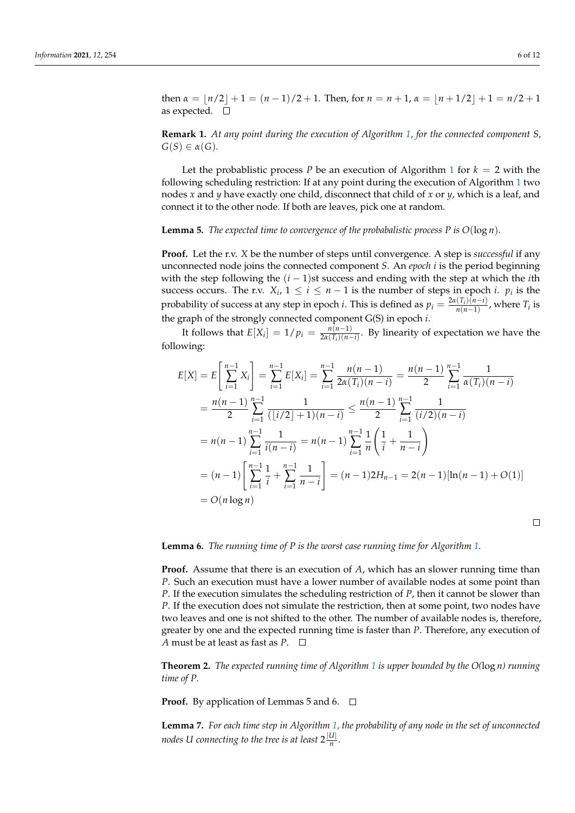$\Box$ 

then  $\alpha = \lfloor n/2 \rfloor + 1 = (n-1)/2 + 1$ . Then, for  $n = n + 1$ ,  $\alpha = \lfloor n + 1/2 \rfloor + 1 = n/2 + 1$ as expected.  $\square$ 

**Remark 1.** *At any point during the execution of Algorithm [1,](#page-3-1) for the connected component S,*  $G(S) \in \alpha(G)$ .

Let the probablistic process *P* be an execution of Algorithm [1](#page-3-1) for  $k = 2$  with the following scheduling restriction: If at any point during the execution of Algorithm [1](#page-3-1) two nodes *x* and *y* have exactly one child, disconnect that child of *x* or *y*, which is a leaf, and connect it to the other node. If both are leaves, pick one at random.

**Lemma 5.** *The expected time to convergence of the probabalistic process P is*  $O(\log n)$ *.* 

**Proof.** Let the r.v. *X* be the number of steps until convergence. A step is *successful* if any unconnected node joins the connected component *S*. An *epoch i* is the period beginning with the step following the  $(i - 1)$ st success and ending with the step at which the *i*th success occurs. The r.v.  $X_i$ ,  $1 \le i \le n-1$  is the number of steps in epoch *i*.  $p_i$  is the probability of success at any step in epoch *i*. This is defined as  $p_i = \frac{2\alpha(T_i)(n-i)}{n(n-1)}$  $\frac{n(n-1)}{n(n-1)}$ , where  $T_i$  is the graph of the strongly connected component G(S) in epoch *i*.

It follows that  $E[X_i] = 1/p_i = \frac{n(n-1)}{2\alpha(T_i)(n-1)}$  $\frac{n(n-1)}{2\alpha(T_i)(n-i)}$ . By linearity of expectation we have the following:

$$
E[X] = E\left[\sum_{i=1}^{n-1} X_i\right] = \sum_{i=1}^{n-1} E[X_i] = \sum_{i=1}^{n-1} \frac{n(n-1)}{2\alpha(T_i)(n-i)} = \frac{n(n-1)}{2} \sum_{i=1}^{n-1} \frac{1}{\alpha(T_i)(n-i)}
$$
  
=  $\frac{n(n-1)}{2} \sum_{i=1}^{n-1} \frac{1}{(\lfloor i/2 \rfloor + 1)(n-i)} \le \frac{n(n-1)}{2} \sum_{i=1}^{n-1} \frac{1}{(i/2)(n-i)}$   
=  $n(n-1) \sum_{i=1}^{n-1} \frac{1}{i(n-i)} = n(n-1) \sum_{i=1}^{n-1} \frac{1}{n} \left(\frac{1}{i} + \frac{1}{n-i}\right)$   
=  $(n-1) \left[\sum_{i=1}^{n-1} \frac{1}{i} + \sum_{i=1}^{n-1} \frac{1}{n-i}\right] = (n-1)2H_{n-1} = 2(n-1)[\ln(n-1) + O(1)]$   
=  $O(n \log n)$ 

**Lemma 6.** *The running time of P is the worst case running time for Algorithm [1.](#page-3-1)*

**Proof.** Assume that there is an execution of *A*, which has an slower running time than *P*. Such an execution must have a lower number of available nodes at some point than *P*. If the execution simulates the scheduling restriction of *P*, then it cannot be slower than *P*. If the execution does not simulate the restriction, then at some point, two nodes have two leaves and one is not shifted to the other. The number of available nodes is, therefore, greater by one and the expected running time is faster than *P*. Therefore, any execution of *A* must be at least as fast as *P*. □

**Theorem 2.** *The expected running time of Algorithm [1](#page-3-1) is upper bounded by the O(*log *n) running time of P.*

**Proof.** By application of Lemmas 5 and 6.  $\Box$ 

**Lemma 7.** *For each time step in Algorithm [1,](#page-3-1) the probability of any node in the set of unconnected nodes U connecting to the tree is at least* 2 $\frac{|U|}{n}$  $\frac{a_1}{n}$ .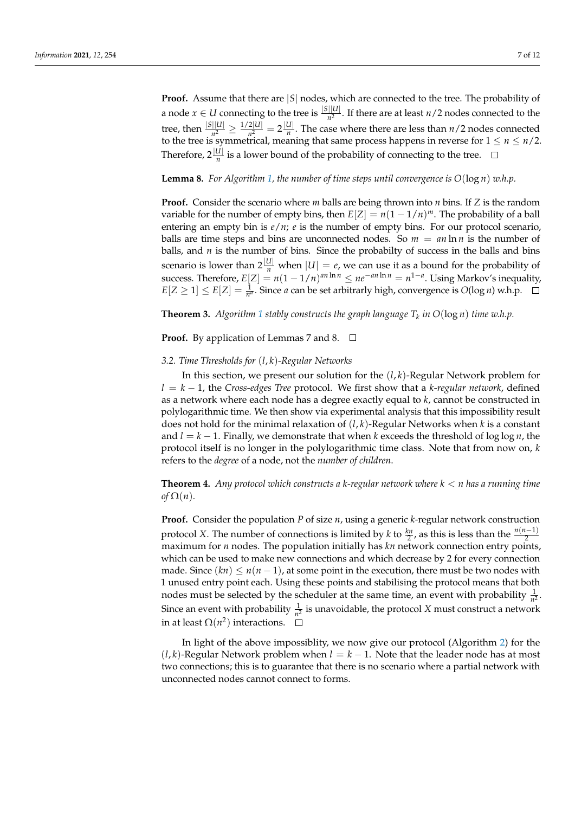**Proof.** Assume that there are |*S*| nodes, which are connected to the tree. The probability of a node  $x \in U$  connecting to the tree is  $\frac{|S||U|}{n^2}$ . If there are at least  $n/2$  nodes connected to the tree, then  $\frac{|S||U|}{n^2} \ge \frac{1/2|U|}{n^2}$  $\frac{2|U|}{n^2} = 2\frac{|U|}{n}$  $\frac{a_1}{n}$ . The case where there are less than  $n/2$  nodes connected to the tree is symmetrical, meaning that same process happens in reverse for  $1 \leq n \leq n/2$ . Therefore,  $2\frac{|U|}{n}$  is a lower bound of the probability of connecting to the tree.

**Lemma 8.** For Algorithm [1,](#page-3-1) the number of time steps until convergence is  $O(\log n)$  w.h.p.

**Proof.** Consider the scenario where *m* balls are being thrown into *n* bins. If *Z* is the random variable for the number of empty bins, then  $E[Z] = n(1 - 1/n)^m$ . The probability of a ball entering an empty bin is *e*/*n*; *e* is the number of empty bins. For our protocol scenario, balls are time steps and bins are unconnected nodes. So  $m = an \ln n$  is the number of balls, and *n* is the number of bins. Since the probabilty of success in the balls and bins scenario is lower than  $2\frac{|U|}{n}$  when  $|U| = e$ , we can use it as a bound for the probability of success. Therefore,  $E[Z] = n(1 - 1/n)^{an \ln n} \leq ne^{-an \ln n} = n^{1-a}$ . Using Markov's inequality,  $E[Z \ge 1] \le E[Z] = \frac{1}{n^a}$ . Since *a* can be set arbitrarly high, convergence is  $O(\log n)$  w.h.p.

**Theorem 3.** Algorithm [1](#page-3-1) stably constructs the graph language  $T_k$  in  $O(\log n)$  time w.h.p.

#### **Proof.** By application of Lemmas 7 and 8.  $\Box$

#### *3.2. Time Thresholds for* (*l*, *k*)*-Regular Networks*

In this section, we present our solution for the (*l*, *k*)-Regular Network problem for *l* = *k* − 1, the *Cross-edges Tree* protocol. We first show that a *k-regular network*, defined as a network where each node has a degree exactly equal to *k*, cannot be constructed in polylogarithmic time. We then show via experimental analysis that this impossibility result does not hold for the minimal relaxation of (*l*, *k*)-Regular Networks when *k* is a constant and *l* = *k* − 1. Finally, we demonstrate that when *k* exceeds the threshold of log log *n*, the protocol itself is no longer in the polylogarithmic time class. Note that from now on, *k* refers to the *degree* of a node, not the *number of children*.

**Theorem 4.** *Any protocol which constructs a k-regular network where k* < *n has a running time of*  $\Omega(n)$ *.* 

**Proof.** Consider the population *P* of size *n*, using a generic *k*-regular network construction protocol *X*. The number of connections is limited by *k* to  $\frac{kn}{2}$ , as this is less than the  $\frac{n(n-1)}{2}$ maximum for *n* nodes. The population initially has *kn* network connection entry points, which can be used to make new connections and which decrease by 2 for every connection made. Since  $(kn) \leq n(n-1)$ , at some point in the execution, there must be two nodes with 1 unused entry point each. Using these points and stabilising the protocol means that both nodes must be selected by the scheduler at the same time, an event with probability  $\frac{1}{n^2}$ . Since an event with probability  $\frac{1}{n^2}$  is unavoidable, the protocol *X* must construct a network in at least  $\Omega(n^2)$  interactions.

In light of the above impossiblity, we now give our protocol (Algorithm [2\)](#page-7-0) for the  $(l, k)$ -Regular Network problem when  $l = k - 1$ . Note that the leader node has at most two connections; this is to guarantee that there is no scenario where a partial network with unconnected nodes cannot connect to forms.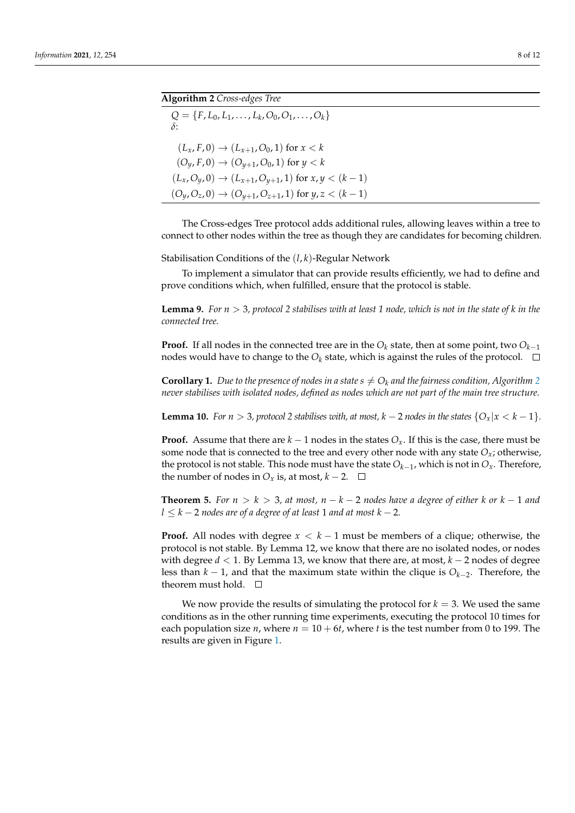<span id="page-7-0"></span>

| <b>Algorithm 2</b> Cross-edges Tree                                     |  |
|-------------------------------------------------------------------------|--|
| $Q = \{F, L_0, L_1, \ldots, L_k, O_0, O_1, \ldots, O_k\}$<br>$\delta$ : |  |
| $(L_x, F, 0) \rightarrow (L_{x+1}, O_0, 1)$ for $x < k$                 |  |
| $(O_y, F, 0) \rightarrow (O_{y+1}, O_0, 1)$ for $y < k$                 |  |
| $(L_x, O_y, 0) \rightarrow (L_{x+1}, O_{y+1}, 1)$ for $x, y < (k-1)$    |  |
| $(O_y, O_z, 0) \rightarrow (O_{y+1}, O_{z+1}, 1)$ for $y, z < (k-1)$    |  |

The Cross-edges Tree protocol adds additional rules, allowing leaves within a tree to connect to other nodes within the tree as though they are candidates for becoming children.

Stabilisation Conditions of the (*l*, *k*)-Regular Network

To implement a simulator that can provide results efficiently, we had to define and prove conditions which, when fulfilled, ensure that the protocol is stable.

**Lemma 9.** *For n* > 3*, protocol 2 stabilises with at least 1 node, which is not in the state of k in the connected tree.*

**Proof.** If all nodes in the connected tree are in the  $O_k$  state, then at some point, two  $O_{k-1}$ nodes would have to change to the  $O_k$  state, which is against the rules of the protocol.  $\Box$ 

**Corollary 1.** Due to the presence of nodes in a state  $s \neq O_k$  and the fairness condition, Algorithm [2](#page-7-0) *never stabilises with isolated nodes, defined as nodes which are not part of the main tree structure.*

**Lemma 10.** *For*  $n > 3$ *, protocol 2 stabilises with, at most,*  $k - 2$  *nodes in the states*  $\{O_x | x < k - 1\}$ *.* 

**Proof.** Assume that there are  $k - 1$  nodes in the states  $O<sub>x</sub>$ . If this is the case, there must be some node that is connected to the tree and every other node with any state  $O_x$ ; otherwise, the protocol is not stable. This node must have the state  $O_{k-1}$ , which is not in  $O_x$ . Therefore, the number of nodes in  $O_x$  is, at most,  $k - 2$ . □

**Theorem 5.** *For*  $n > k > 3$ , at most,  $n - k - 2$  nodes have a degree of either k or  $k - 1$  and *l* ≤ *k* − 2 *nodes are of a degree of at least* 1 *and at most k* − 2*.*

**Proof.** All nodes with degree  $x < k - 1$  must be members of a clique; otherwise, the protocol is not stable. By Lemma 12, we know that there are no isolated nodes, or nodes with degree *d* < 1. By Lemma 13, we know that there are, at most, *k* − 2 nodes of degree less than *k* − 1, and that the maximum state within the clique is *Ok*−<sup>2</sup> . Therefore, the theorem must hold.  $\square$ 

We now provide the results of simulating the protocol for  $k = 3$ . We used the same conditions as in the other running time experiments, executing the protocol 10 times for each population size  $n$ , where  $n = 10 + 6t$ , where  $t$  is the test number from 0 to 199. The results are given in Figure [1.](#page-8-0)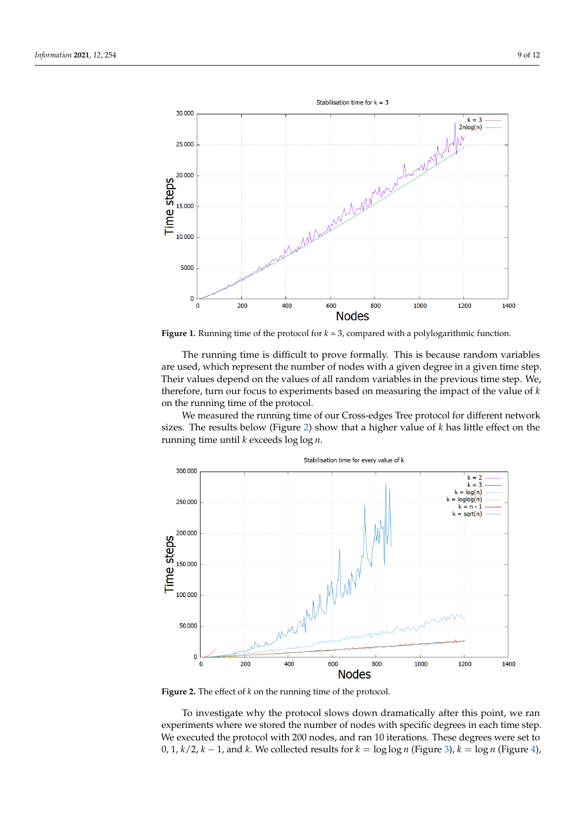<span id="page-8-0"></span>

**Figure 1.** Running time of the protocol for *k* = 3, compared with a polylogarithmic function.

The running time is difficult to prove formally. This is because random variables are used, which represent the number of nodes with a given degree in a given time step. Their values depend on the values of all random variables in the previous time step. We, therefore, turn our focus to experiments based on measuring the impact of the value of *k* on the running time of the protocol.

We measured the running time of our Cross-edges Tree protocol for different network sizes. The results below (Figure [2\)](#page-8-1) show that a higher value of *k* has little effect on the running time until *k* exceeds log log *n*.

<span id="page-8-1"></span>

**Figure 2.** The effect of *k* on the running time of the protocol.

To investigate why the protocol slows down dramatically after this point, we ran experiments where we stored the number of nodes with specific degrees in each time step. We executed the protocol with 200 nodes, and ran 10 iterations. These degrees were set to 0, 1,  $k/2$ ,  $k - 1$ , and  $k$ . We collected results for  $k = \log \log n$  (Figure [3\)](#page-9-0),  $k = \log n$  (Figure [4\)](#page-9-1),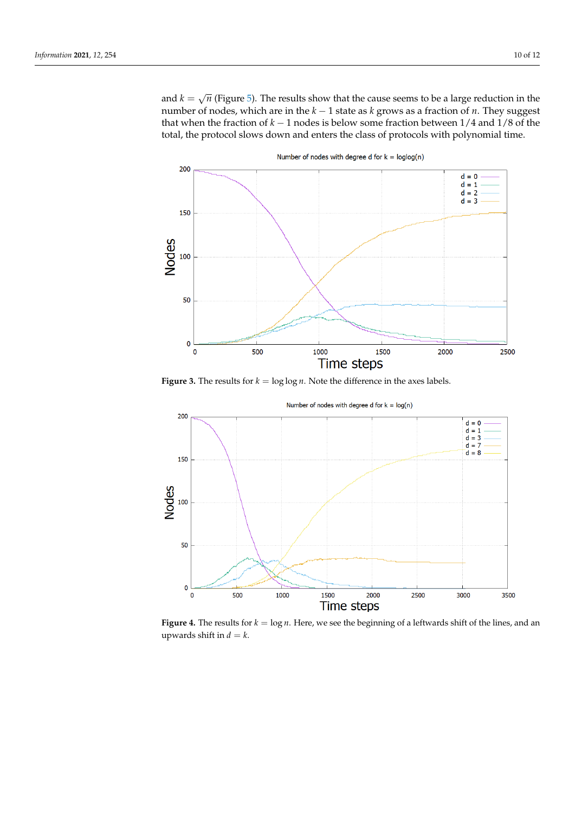and  $k = \sqrt{ }$ *n* (Figure [5\)](#page-10-1). The results show that the cause seems to be a large reduction in the number of nodes, which are in the *k* − 1 state as *k* grows as a fraction of *n*. They suggest that when the fraction of *k* − 1 nodes is below some fraction between 1/4 and 1/8 of the total, the protocol slows down and enters the class of protocols with polynomial time.

<span id="page-9-0"></span>

**Figure 3.** The results for  $k = \log \log n$ . Note the difference in the axes labels.

<span id="page-9-1"></span>

**Figure 4.** The results for *k* = log *n*. Here, we see the beginning of a leftwards shift of the lines, and an upwards shift in  $d = k$ .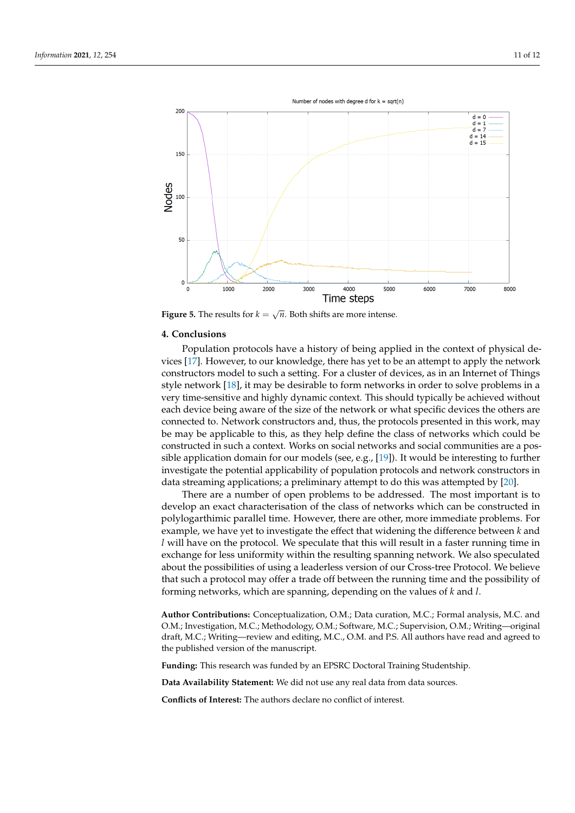<span id="page-10-1"></span>

**Figure 5.** The results for  $k = \sqrt{n}$ . Both shifts are more intense.

## <span id="page-10-0"></span>**4. Conclusions**

Population protocols have a history of being applied in the context of physical devices [\[17\]](#page-11-14). However, to our knowledge, there has yet to be an attempt to apply the network constructors model to such a setting. For a cluster of devices, as in an Internet of Things style network [\[18\]](#page-11-15), it may be desirable to form networks in order to solve problems in a very time-sensitive and highly dynamic context. This should typically be achieved without each device being aware of the size of the network or what specific devices the others are connected to. Network constructors and, thus, the protocols presented in this work, may be may be applicable to this, as they help define the class of networks which could be constructed in such a context. Works on social networks and social communities are a possible application domain for our models (see, e.g., [\[19\]](#page-11-16)). It would be interesting to further investigate the potential applicability of population protocols and network constructors in data streaming applications; a preliminary attempt to do this was attempted by [\[20\]](#page-11-17).

There are a number of open problems to be addressed. The most important is to develop an exact characterisation of the class of networks which can be constructed in polylogarthimic parallel time. However, there are other, more immediate problems. For example, we have yet to investigate the effect that widening the difference between *k* and *l* will have on the protocol. We speculate that this will result in a faster running time in exchange for less uniformity within the resulting spanning network. We also speculated about the possibilities of using a leaderless version of our Cross-tree Protocol. We believe that such a protocol may offer a trade off between the running time and the possibility of forming networks, which are spanning, depending on the values of *k* and *l*.

**Author Contributions:** Conceptualization, O.M.; Data curation, M.C.; Formal analysis, M.C. and O.M.; Investigation, M.C.; Methodology, O.M.; Software, M.C.; Supervision, O.M.; Writing—original draft, M.C.; Writing—review and editing, M.C., O.M. and P.S. All authors have read and agreed to the published version of the manuscript.

**Funding:** This research was funded by an EPSRC Doctoral Training Studentship.

**Data Availability Statement:** We did not use any real data from data sources.

**Conflicts of Interest:** The authors declare no conflict of interest.